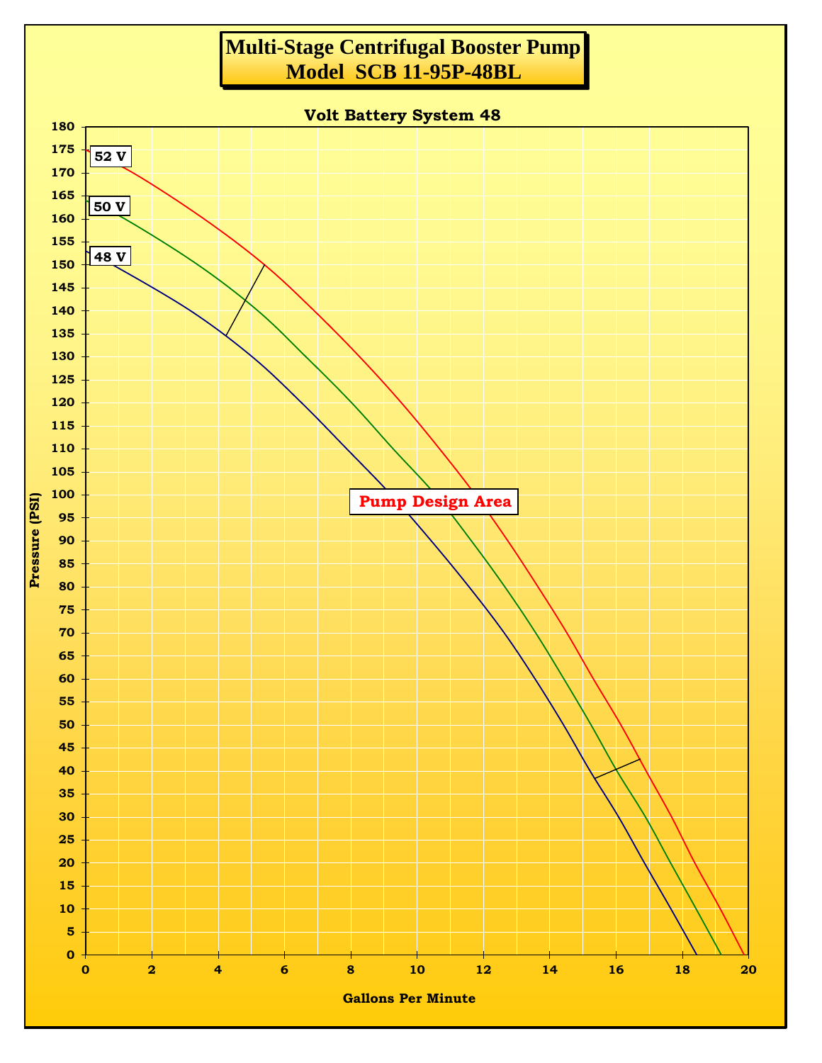